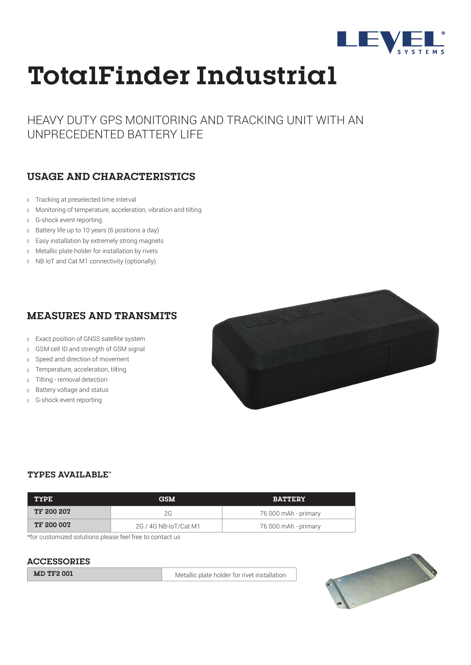

# **TotalFinder Industrial**

HEAVY DUTY GPS MONITORING AND TRACKING UNIT WITH AN UNPRECEDENTED BATTERY LIFE

## **USAGE AND CHARACTERISTICS**

- Tracking at preselected time interval
- Monitoring of temperature, acceleration, vibration and tilting
- G-shock event reporting
- Battery life up to 10 years (6 positions a day)
- Easy installation by extremely strong magnets
- Metallic plate holder for installation by rivets
- 1) NB IoT and Cat M1 connectivity (optionally)

# **MEASURES AND TRANSMITS**

- Exact position of GNSS satellite system
- GSM cell ID and strength of GSM signal
- Speed and direction of movement  $)$
- Temperature, acceleration, tilting  $\mathcal{W}$
- Tilting removal detection  $\mathcal{W}$
- Battery voltage and status  $)$
- G-shock event reporting



#### **TYPES AVAILABLE\***

| <b>TYPE</b>       | <b>GSM</b>            | <b>BATTERY</b>       |  |
|-------------------|-----------------------|----------------------|--|
| <b>TF 200 207</b> | 2G                    | 76 000 mAh - primary |  |
| <b>TF 200 007</b> | 2G / 4G NB-IoT/Cat M1 | 76 000 mAh - primary |  |

\*for customized solutions please feel free to contact us

#### **ACCESSORIES**

**MD TF2 001** Metallic plate holder for rivet installation